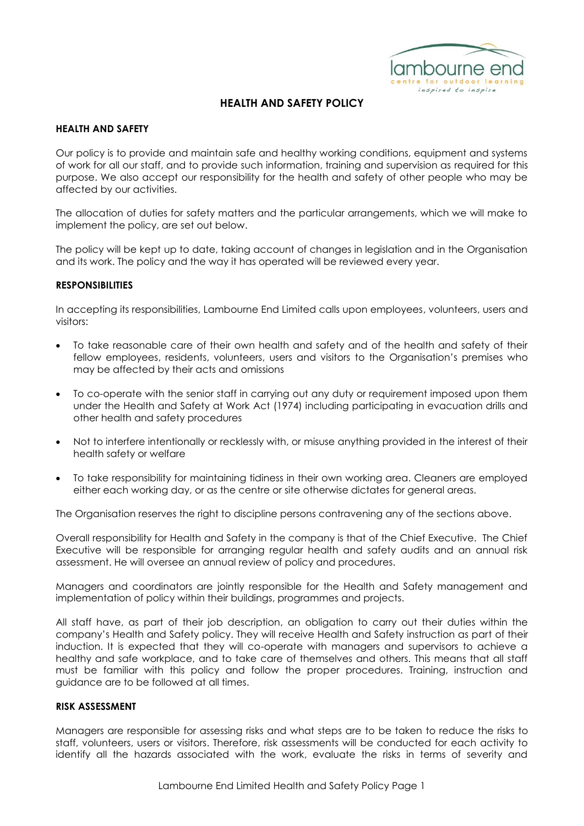

### **HEALTH AND SAFETY**

Our policy is to provide and maintain safe and healthy working conditions, equipment and systems of work for all our staff, and to provide such information, training and supervision as required for this purpose. We also accept our responsibility for the health and safety of other people who may be affected by our activities.

The allocation of duties for safety matters and the particular arrangements, which we will make to implement the policy, are set out below.

The policy will be kept up to date, taking account of changes in legislation and in the Organisation and its work. The policy and the way it has operated will be reviewed every year.

## **RESPONSIBILITIES**

In accepting its responsibilities, Lambourne End Limited calls upon employees, volunteers, users and visitors:

- To take reasonable care of their own health and safety and of the health and safety of their fellow employees, residents, volunteers, users and visitors to the Organisation's premises who may be affected by their acts and omissions
- To co-operate with the senior staff in carrying out any duty or requirement imposed upon them under the Health and Safety at Work Act (1974) including participating in evacuation drills and other health and safety procedures
- Not to interfere intentionally or recklessly with, or misuse anything provided in the interest of their health safety or welfare
- To take responsibility for maintaining tidiness in their own working area. Cleaners are employed either each working day, or as the centre or site otherwise dictates for general areas.

The Organisation reserves the right to discipline persons contravening any of the sections above.

Overall responsibility for Health and Safety in the company is that of the Chief Executive. The Chief Executive will be responsible for arranging regular health and safety audits and an annual risk assessment. He will oversee an annual review of policy and procedures.

Managers and coordinators are jointly responsible for the Health and Safety management and implementation of policy within their buildings, programmes and projects.

All staff have, as part of their job description, an obligation to carry out their duties within the company's Health and Safety policy. They will receive Health and Safety instruction as part of their induction. It is expected that they will co-operate with managers and supervisors to achieve a healthy and safe workplace, and to take care of themselves and others. This means that all staff must be familiar with this policy and follow the proper procedures. Training, instruction and guidance are to be followed at all times.

## **RISK ASSESSMENT**

Managers are responsible for assessing risks and what steps are to be taken to reduce the risks to staff, volunteers, users or visitors. Therefore, risk assessments will be conducted for each activity to identify all the hazards associated with the work, evaluate the risks in terms of severity and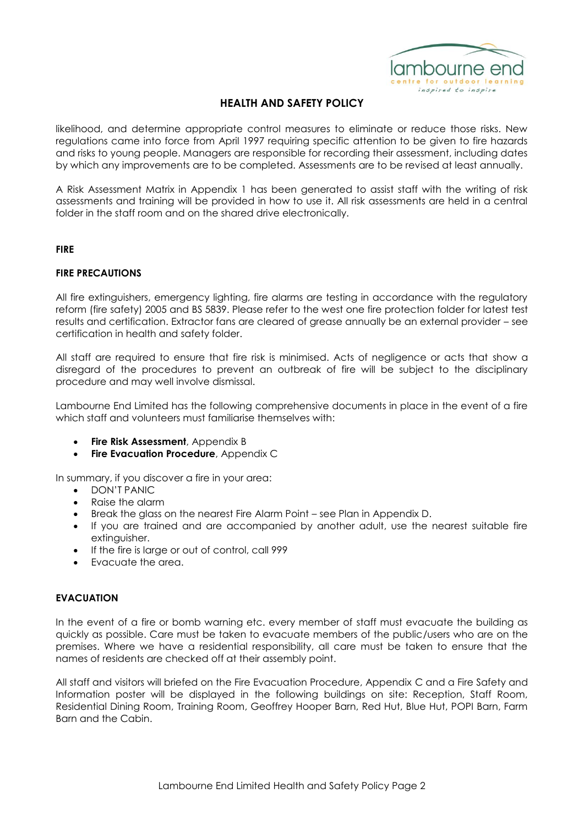

likelihood, and determine appropriate control measures to eliminate or reduce those risks. New regulations came into force from April 1997 requiring specific attention to be given to fire hazards and risks to young people. Managers are responsible for recording their assessment, including dates by which any improvements are to be completed. Assessments are to be revised at least annually.

A Risk Assessment Matrix in Appendix 1 has been generated to assist staff with the writing of risk assessments and training will be provided in how to use it. All risk assessments are held in a central folder in the staff room and on the shared drive electronically.

## **FIRE**

## **FIRE PRECAUTIONS**

All fire extinguishers, emergency lighting, fire alarms are testing in accordance with the regulatory reform (fire safety) 2005 and BS 5839. Please refer to the west one fire protection folder for latest test results and certification. Extractor fans are cleared of grease annually be an external provider – see certification in health and safety folder.

All staff are required to ensure that fire risk is minimised. Acts of negligence or acts that show a disregard of the procedures to prevent an outbreak of fire will be subject to the disciplinary procedure and may well involve dismissal.

Lambourne End Limited has the following comprehensive documents in place in the event of a fire which staff and volunteers must familiarise themselves with:

- **Fire Risk Assessment**, Appendix B
- **Fire Evacuation Procedure**, Appendix C

In summary, if you discover a fire in your area:

- DON'T PANIC
- Raise the alarm
- Break the glass on the nearest Fire Alarm Point see Plan in Appendix D.
- If you are trained and are accompanied by another adult, use the nearest suitable fire extinguisher.
- If the fire is large or out of control, call 999
- Evacuate the area.

## **EVACUATION**

In the event of a fire or bomb warning etc. every member of staff must evacuate the building as quickly as possible. Care must be taken to evacuate members of the public/users who are on the premises. Where we have a residential responsibility, all care must be taken to ensure that the names of residents are checked off at their assembly point.

All staff and visitors will briefed on the Fire Evacuation Procedure, Appendix C and a Fire Safety and Information poster will be displayed in the following buildings on site: Reception, Staff Room, Residential Dining Room, Training Room, Geoffrey Hooper Barn, Red Hut, Blue Hut, POPI Barn, Farm Barn and the Cabin.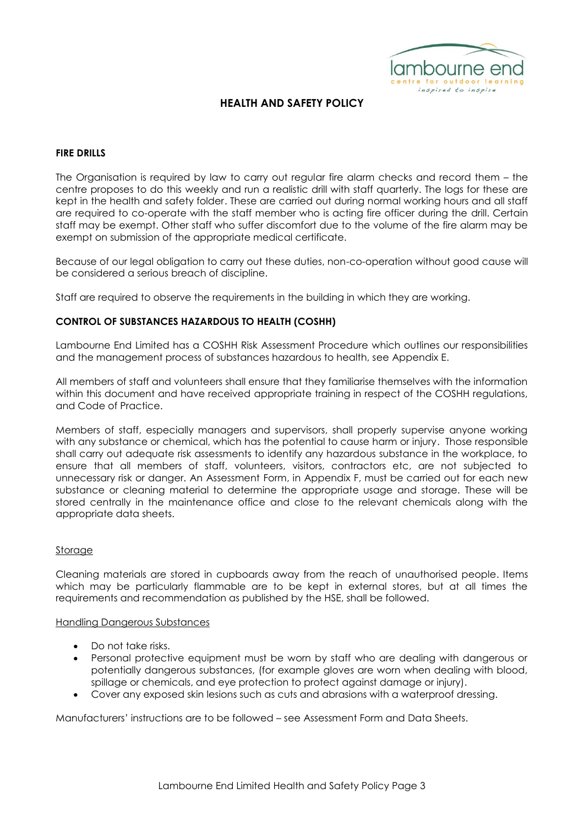

## **FIRE DRILLS**

The Organisation is required by law to carry out regular fire alarm checks and record them – the centre proposes to do this weekly and run a realistic drill with staff quarterly. The logs for these are kept in the health and safety folder. These are carried out during normal working hours and all staff are required to co-operate with the staff member who is acting fire officer during the drill. Certain staff may be exempt. Other staff who suffer discomfort due to the volume of the fire alarm may be exempt on submission of the appropriate medical certificate.

Because of our legal obligation to carry out these duties, non-co-operation without good cause will be considered a serious breach of discipline.

Staff are required to observe the requirements in the building in which they are working.

## **CONTROL OF SUBSTANCES HAZARDOUS TO HEALTH (COSHH)**

Lambourne End Limited has a COSHH Risk Assessment Procedure which outlines our responsibilities and the management process of substances hazardous to health, see Appendix E.

All members of staff and volunteers shall ensure that they familiarise themselves with the information within this document and have received appropriate training in respect of the COSHH regulations, and Code of Practice.

Members of staff, especially managers and supervisors, shall properly supervise anyone working with any substance or chemical, which has the potential to cause harm or injury. Those responsible shall carry out adequate risk assessments to identify any hazardous substance in the workplace, to ensure that all members of staff, volunteers, visitors, contractors etc, are not subjected to unnecessary risk or danger. An Assessment Form, in Appendix F, must be carried out for each new substance or cleaning material to determine the appropriate usage and storage. These will be stored centrally in the maintenance office and close to the relevant chemicals along with the appropriate data sheets.

#### Storage

Cleaning materials are stored in cupboards away from the reach of unauthorised people. Items which may be particularly flammable are to be kept in external stores, but at all times the requirements and recommendation as published by the HSE, shall be followed.

#### Handling Dangerous Substances

- Do not take risks.
- Personal protective equipment must be worn by staff who are dealing with dangerous or potentially dangerous substances, (for example gloves are worn when dealing with blood, spillage or chemicals, and eye protection to protect against damage or injury).
- Cover any exposed skin lesions such as cuts and abrasions with a waterproof dressing.

Manufacturers' instructions are to be followed – see Assessment Form and Data Sheets.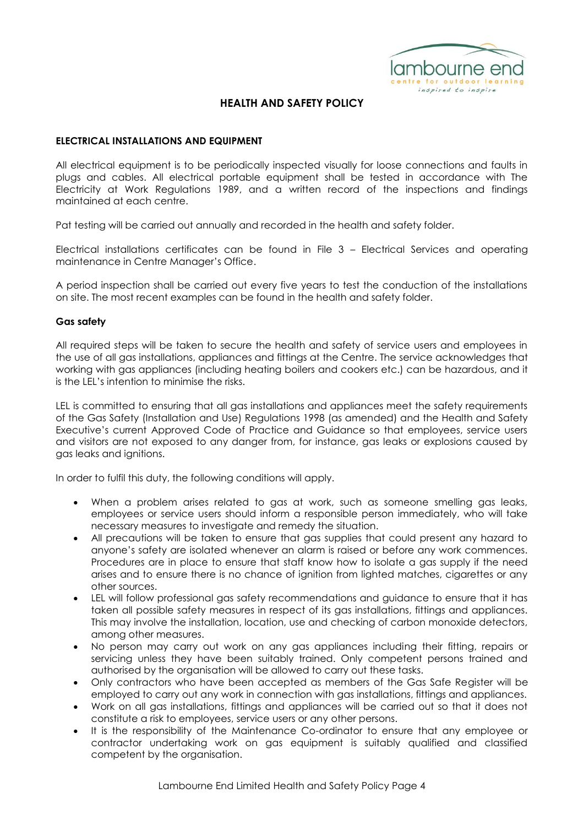

## **ELECTRICAL INSTALLATIONS AND EQUIPMENT**

All electrical equipment is to be periodically inspected visually for loose connections and faults in plugs and cables. All electrical portable equipment shall be tested in accordance with The Electricity at Work Regulations 1989, and a written record of the inspections and findings maintained at each centre.

Pat testing will be carried out annually and recorded in the health and safety folder.

Electrical installations certificates can be found in File 3 – Electrical Services and operating maintenance in Centre Manager's Office.

A period inspection shall be carried out every five years to test the conduction of the installations on site. The most recent examples can be found in the health and safety folder.

## **Gas safety**

All required steps will be taken to secure the health and safety of service users and employees in the use of all gas installations, appliances and fittings at the Centre. The service acknowledges that working with gas appliances (including heating boilers and cookers etc.) can be hazardous, and it is the LEL's intention to minimise the risks.

LEL is committed to ensuring that all gas installations and appliances meet the safety requirements of the Gas Safety (Installation and Use) Regulations 1998 (as amended) and the Health and Safety Executive's current Approved Code of Practice and Guidance so that employees, service users and visitors are not exposed to any danger from, for instance, gas leaks or explosions caused by gas leaks and ignitions.

In order to fulfil this duty, the following conditions will apply.

- When a problem arises related to gas at work, such as someone smelling gas leaks, employees or service users should inform a responsible person immediately, who will take necessary measures to investigate and remedy the situation.
- All precautions will be taken to ensure that gas supplies that could present any hazard to anyone's safety are isolated whenever an alarm is raised or before any work commences. Procedures are in place to ensure that staff know how to isolate a gas supply if the need arises and to ensure there is no chance of ignition from lighted matches, cigarettes or any other sources.
- LEL will follow professional gas safety recommendations and guidance to ensure that it has taken all possible safety measures in respect of its gas installations, fittings and appliances. This may involve the installation, location, use and checking of carbon monoxide detectors, among other measures.
- No person may carry out work on any gas appliances including their fitting, repairs or servicing unless they have been suitably trained. Only competent persons trained and authorised by the organisation will be allowed to carry out these tasks.
- Only contractors who have been accepted as members of the Gas Safe Register will be employed to carry out any work in connection with gas installations, fittings and appliances.
- Work on all gas installations, fittings and appliances will be carried out so that it does not constitute a risk to employees, service users or any other persons.
- It is the responsibility of the Maintenance Co-ordinator to ensure that any employee or contractor undertaking work on gas equipment is suitably qualified and classified competent by the organisation.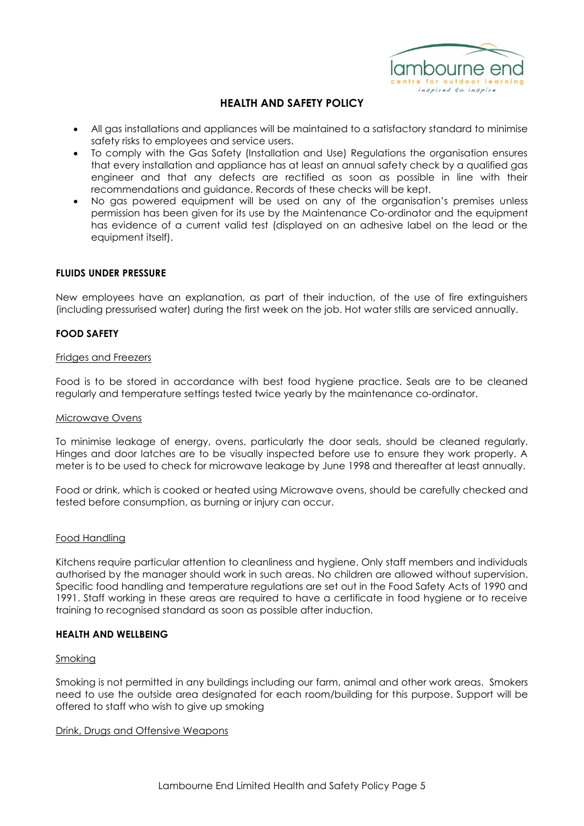

- All gas installations and appliances will be maintained to a satisfactory standard to minimise safety risks to employees and service users.
- To comply with the Gas Safety (Installation and Use) Regulations the organisation ensures that every installation and appliance has at least an annual safety check by a qualified gas engineer and that any defects are rectified as soon as possible in line with their recommendations and guidance. Records of these checks will be kept.
- No gas powered equipment will be used on any of the organisation's premises unless permission has been given for its use by the Maintenance Co-ordinator and the equipment has evidence of a current valid test (displayed on an adhesive label on the lead or the equipment itself).

## **FLUIDS UNDER PRESSURE**

New employees have an explanation, as part of their induction, of the use of fire extinguishers (including pressurised water) during the first week on the job. Hot water stills are serviced annually.

## **FOOD SAFETY**

#### Fridges and Freezers

Food is to be stored in accordance with best food hygiene practice. Seals are to be cleaned regularly and temperature settings tested twice yearly by the maintenance co-ordinator.

#### Microwave Ovens

To minimise leakage of energy, ovens, particularly the door seals, should be cleaned regularly. Hinges and door latches are to be visually inspected before use to ensure they work properly. A meter is to be used to check for microwave leakage by June 1998 and thereafter at least annually.

Food or drink, which is cooked or heated using Microwave ovens, should be carefully checked and tested before consumption, as burning or injury can occur.

#### Food Handling

Kitchens require particular attention to cleanliness and hygiene. Only staff members and individuals authorised by the manager should work in such areas. No children are allowed without supervision. Specific food handling and temperature regulations are set out in the Food Safety Acts of 1990 and 1991. Staff working in these areas are required to have a certificate in food hygiene or to receive training to recognised standard as soon as possible after induction.

#### **HEALTH AND WELLBEING**

#### **Smoking**

Smoking is not permitted in any buildings including our farm, animal and other work areas. Smokers need to use the outside area designated for each room/building for this purpose. Support will be offered to staff who wish to give up smoking

#### Drink, Drugs and Offensive Weapons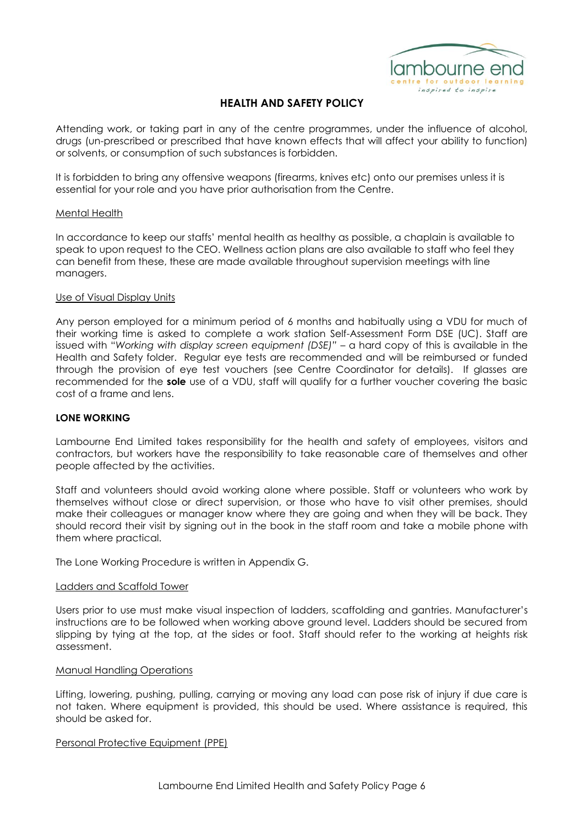

Attending work, or taking part in any of the centre programmes, under the influence of alcohol, drugs (un-prescribed or prescribed that have known effects that will affect your ability to function) or solvents, or consumption of such substances is forbidden.

It is forbidden to bring any offensive weapons (firearms, knives etc) onto our premises unless it is essential for your role and you have prior authorisation from the Centre.

## Mental Health

In accordance to keep our staffs' mental health as healthy as possible, a chaplain is available to speak to upon request to the CEO. Wellness action plans are also available to staff who feel they can benefit from these, these are made available throughout supervision meetings with line managers.

## Use of Visual Display Units

Any person employed for a minimum period of 6 months and habitually using a VDU for much of their working time is asked to complete a work station Self-Assessment Form DSE (UC). Staff are issued with "*Working with display screen equipment (DSE)" –* a hard copy of this is available in the Health and Safety folder. Regular eye tests are recommended and will be reimbursed or funded through the provision of eye test vouchers (see Centre Coordinator for details). If glasses are recommended for the **sole** use of a VDU, staff will qualify for a further voucher covering the basic cost of a frame and lens.

### **LONE WORKING**

Lambourne End Limited takes responsibility for the health and safety of employees, visitors and contractors, but workers have the responsibility to take reasonable care of themselves and other people affected by the activities.

Staff and volunteers should avoid working alone where possible. Staff or volunteers who work by themselves without close or direct supervision, or those who have to visit other premises, should make their colleagues or manager know where they are going and when they will be back. They should record their visit by signing out in the book in the staff room and take a mobile phone with them where practical.

The Lone Working Procedure is written in Appendix G.

#### Ladders and Scaffold Tower

Users prior to use must make visual inspection of ladders, scaffolding and gantries. Manufacturer's instructions are to be followed when working above ground level. Ladders should be secured from slipping by tying at the top, at the sides or foot. Staff should refer to the working at heights risk assessment.

#### Manual Handling Operations

Lifting, lowering, pushing, pulling, carrying or moving any load can pose risk of injury if due care is not taken. Where equipment is provided, this should be used. Where assistance is required, this should be asked for.

#### Personal Protective Equipment (PPE)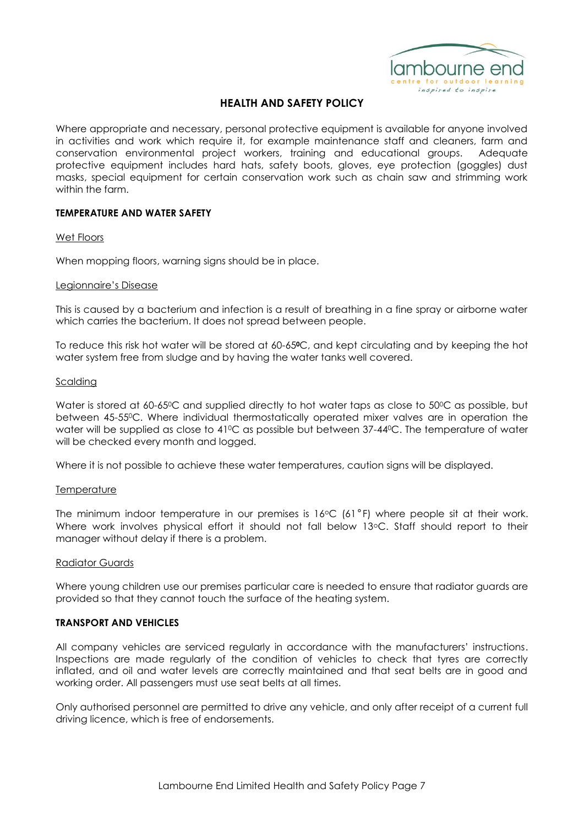

Where appropriate and necessary, personal protective equipment is available for anyone involved in activities and work which require it, for example maintenance staff and cleaners, farm and conservation environmental project workers, training and educational groups. Adequate protective equipment includes hard hats, safety boots, gloves, eye protection (goggles) dust masks, special equipment for certain conservation work such as chain saw and strimming work within the farm.

## **TEMPERATURE AND WATER SAFETY**

## Wet Floors

When mopping floors, warning signs should be in place.

#### Legionnaire's Disease

This is caused by a bacterium and infection is a result of breathing in a fine spray or airborne water which carries the bacterium. It does not spread between people.

To reduce this risk hot water will be stored at 60-65**0**C, and kept circulating and by keeping the hot water system free from sludge and by having the water tanks well covered.

#### Scalding

Water is stored at 60-65<sup>o</sup>C and supplied directly to hot water taps as close to 50<sup>o</sup>C as possible, but between 45-550C. Where individual thermostatically operated mixer valves are in operation the water will be supplied as close to 41<sup>o</sup>C as possible but between 37-44<sup>o</sup>C. The temperature of water will be checked every month and logged.

Where it is not possible to achieve these water temperatures, caution signs will be displayed.

#### **Temperature**

The minimum indoor temperature in our premises is  $16^{\circ}C$  (61 $^{\circ}F$ ) where people sit at their work. Where work involves physical effort it should not fall below 13°C. Staff should report to their manager without delay if there is a problem.

#### Radiator Guards

Where young children use our premises particular care is needed to ensure that radiator guards are provided so that they cannot touch the surface of the heating system.

## **TRANSPORT AND VEHICLES**

All company vehicles are serviced regularly in accordance with the manufacturers' instructions. Inspections are made regularly of the condition of vehicles to check that tyres are correctly inflated, and oil and water levels are correctly maintained and that seat belts are in good and working order. All passengers must use seat belts at all times.

Only authorised personnel are permitted to drive any vehicle, and only after receipt of a current full driving licence, which is free of endorsements.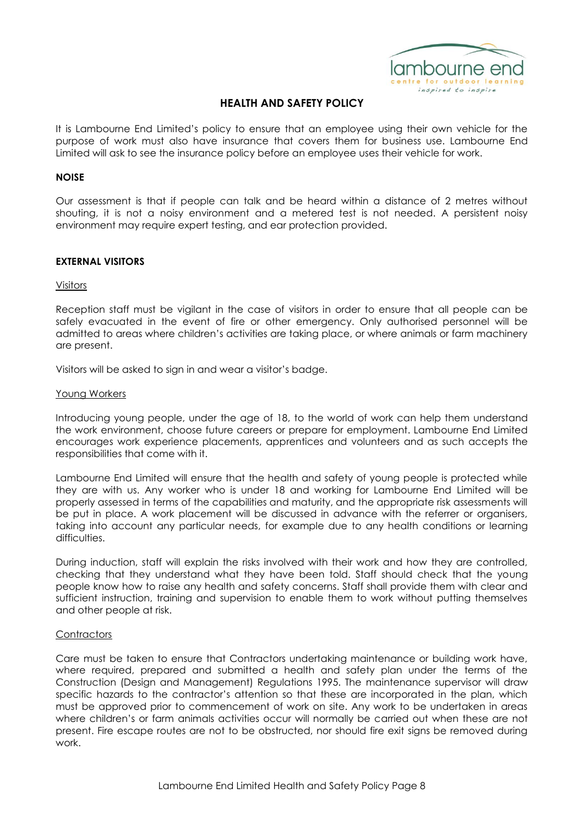

It is Lambourne End Limited's policy to ensure that an employee using their own vehicle for the purpose of work must also have insurance that covers them for business use. Lambourne End Limited will ask to see the insurance policy before an employee uses their vehicle for work.

### **NOISE**

Our assessment is that if people can talk and be heard within a distance of 2 metres without shouting, it is not a noisy environment and a metered test is not needed. A persistent noisy environment may require expert testing, and ear protection provided.

## **EXTERNAL VISITORS**

#### Visitors

Reception staff must be vigilant in the case of visitors in order to ensure that all people can be safely evacuated in the event of fire or other emergency. Only authorised personnel will be admitted to areas where children's activities are taking place, or where animals or farm machinery are present.

Visitors will be asked to sign in and wear a visitor's badge.

## Young Workers

Introducing young people, under the age of 18, to the world of work can help them understand the work environment, choose future careers or prepare for employment. Lambourne End Limited encourages work experience placements, apprentices and volunteers and as such accepts the responsibilities that come with it.

Lambourne End Limited will ensure that the health and safety of young people is protected while they are with us. Any worker who is under 18 and working for Lambourne End Limited will be properly assessed in terms of the capabilities and maturity, and the appropriate risk assessments will be put in place. A work placement will be discussed in advance with the referrer or organisers, taking into account any particular needs, for example due to any health conditions or learning difficulties.

During induction, staff will explain the risks involved with their work and how they are controlled, checking that they understand what they have been told. Staff should check that the young people know how to raise any health and safety concerns. Staff shall provide them with clear and sufficient instruction, training and supervision to enable them to work without putting themselves and other people at risk.

## **Contractors**

Care must be taken to ensure that Contractors undertaking maintenance or building work have, where required, prepared and submitted a health and safety plan under the terms of the Construction (Design and Management) Regulations 1995. The maintenance supervisor will draw specific hazards to the contractor's attention so that these are incorporated in the plan, which must be approved prior to commencement of work on site. Any work to be undertaken in areas where children's or farm animals activities occur will normally be carried out when these are not present. Fire escape routes are not to be obstructed, nor should fire exit signs be removed during work.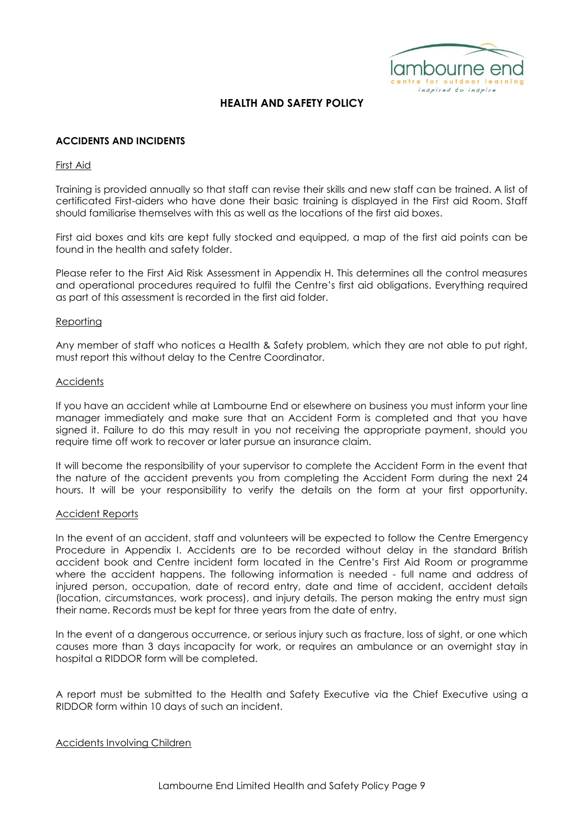

## **ACCIDENTS AND INCIDENTS**

## First Aid

Training is provided annually so that staff can revise their skills and new staff can be trained. A list of certificated First-aiders who have done their basic training is displayed in the First aid Room. Staff should familiarise themselves with this as well as the locations of the first aid boxes.

First aid boxes and kits are kept fully stocked and equipped, a map of the first aid points can be found in the health and safety folder.

Please refer to the First Aid Risk Assessment in Appendix H. This determines all the control measures and operational procedures required to fulfil the Centre's first aid obligations. Everything required as part of this assessment is recorded in the first aid folder.

## Reporting

Any member of staff who notices a Health & Safety problem, which they are not able to put right, must report this without delay to the Centre Coordinator.

#### **Accidents**

If you have an accident while at Lambourne End or elsewhere on business you must inform your line manager immediately and make sure that an Accident Form is completed and that you have signed it. Failure to do this may result in you not receiving the appropriate payment, should you require time off work to recover or later pursue an insurance claim.

It will become the responsibility of your supervisor to complete the Accident Form in the event that the nature of the accident prevents you from completing the Accident Form during the next 24 hours. It will be your responsibility to verify the details on the form at your first opportunity.

#### Accident Reports

In the event of an accident, staff and volunteers will be expected to follow the Centre Emergency Procedure in Appendix I. Accidents are to be recorded without delay in the standard British accident book and Centre incident form located in the Centre's First Aid Room or programme where the accident happens. The following information is needed - full name and address of injured person, occupation, date of record entry, date and time of accident, accident details (location, circumstances, work process), and injury details. The person making the entry must sign their name. Records must be kept for three years from the date of entry.

In the event of a dangerous occurrence, or serious injury such as fracture, loss of sight, or one which causes more than 3 days incapacity for work, or requires an ambulance or an overnight stay in hospital a RIDDOR form will be completed.

A report must be submitted to the Health and Safety Executive via the Chief Executive using a RIDDOR form within 10 days of such an incident.

## Accidents Involving Children